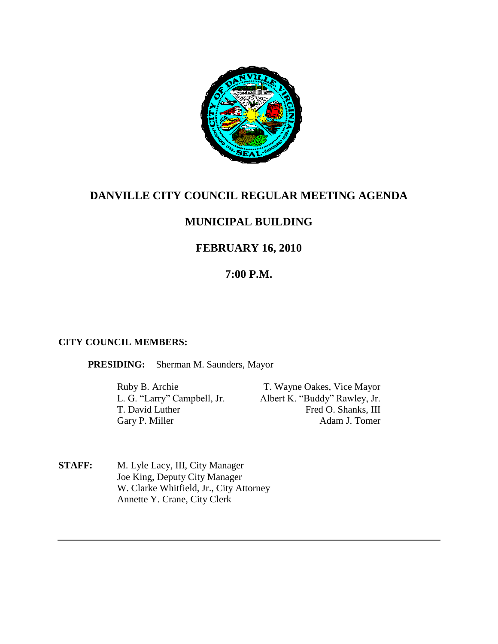

# **DANVILLE CITY COUNCIL REGULAR MEETING AGENDA**

## **MUNICIPAL BUILDING**

## **FEBRUARY 16, 2010**

## **7:00 P.M.**

### **CITY COUNCIL MEMBERS:**

**PRESIDING:** Sherman M. Saunders, Mayor

Ruby B. Archie T. Wayne Oakes, Vice Mayor<br>
L. G. "Larry" Campbell, Jr. Albert K. "Buddy" Rawley, Jr. Albert K. "Buddy" Rawley, Jr. T. David Luther Fred O. Shanks, III Gary P. Miller Adam J. Tomer

**STAFF:** M. Lyle Lacy, III, City Manager Joe King, Deputy City Manager W. Clarke Whitfield, Jr., City Attorney Annette Y. Crane, City Clerk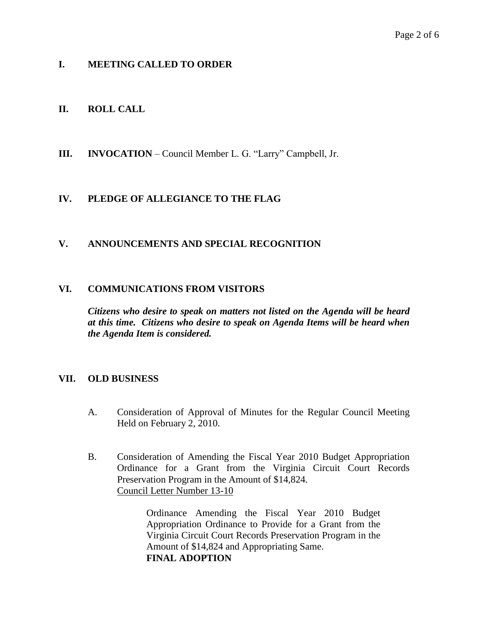## **I. MEETING CALLED TO ORDER**

## **II. ROLL CALL**

**III. INVOCATION** – Council Member L. G. "Larry" Campbell, Jr.

## **IV. PLEDGE OF ALLEGIANCE TO THE FLAG**

## **V. ANNOUNCEMENTS AND SPECIAL RECOGNITION**

### **VI. COMMUNICATIONS FROM VISITORS**

*Citizens who desire to speak on matters not listed on the Agenda will be heard at this time. Citizens who desire to speak on Agenda Items will be heard when the Agenda Item is considered.*

### **VII. OLD BUSINESS**

- A. Consideration of Approval of Minutes for the Regular Council Meeting Held on February 2, 2010.
- B. Consideration of Amending the Fiscal Year 2010 Budget Appropriation Ordinance for a Grant from the Virginia Circuit Court Records Preservation Program in the Amount of \$14,824. Council Letter Number 13-10

Ordinance Amending the Fiscal Year 2010 Budget Appropriation Ordinance to Provide for a Grant from the Virginia Circuit Court Records Preservation Program in the Amount of \$14,824 and Appropriating Same. **FINAL ADOPTION**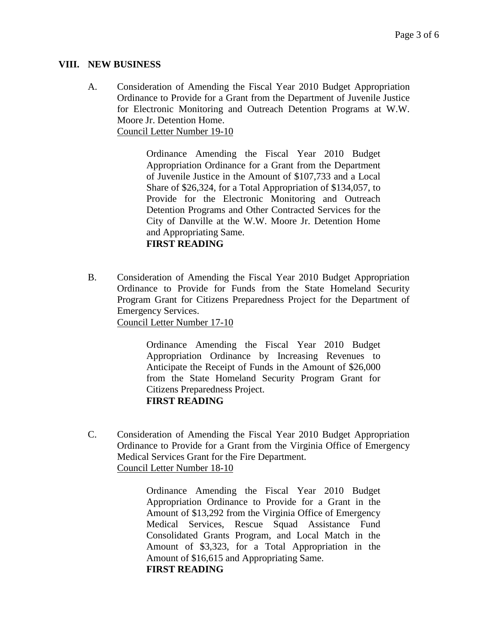#### **VIII. NEW BUSINESS**

A. Consideration of Amending the Fiscal Year 2010 Budget Appropriation Ordinance to Provide for a Grant from the Department of Juvenile Justice for Electronic Monitoring and Outreach Detention Programs at W.W. Moore Jr. Detention Home. Council Letter Number 19-10

> Ordinance Amending the Fiscal Year 2010 Budget Appropriation Ordinance for a Grant from the Department of Juvenile Justice in the Amount of \$107,733 and a Local Share of \$26,324, for a Total Appropriation of \$134,057, to Provide for the Electronic Monitoring and Outreach Detention Programs and Other Contracted Services for the City of Danville at the W.W. Moore Jr. Detention Home and Appropriating Same. **FIRST READING**

B. Consideration of Amending the Fiscal Year 2010 Budget Appropriation Ordinance to Provide for Funds from the State Homeland Security Program Grant for Citizens Preparedness Project for the Department of Emergency Services. Council Letter Number 17-10

Ordinance Amending the Fiscal Year 2010 Budget

Appropriation Ordinance by Increasing Revenues to Anticipate the Receipt of Funds in the Amount of \$26,000 from the State Homeland Security Program Grant for Citizens Preparedness Project. **FIRST READING**

C. Consideration of Amending the Fiscal Year 2010 Budget Appropriation Ordinance to Provide for a Grant from the Virginia Office of Emergency Medical Services Grant for the Fire Department. Council Letter Number 18-10

> Ordinance Amending the Fiscal Year 2010 Budget Appropriation Ordinance to Provide for a Grant in the Amount of \$13,292 from the Virginia Office of Emergency Medical Services, Rescue Squad Assistance Fund Consolidated Grants Program, and Local Match in the Amount of \$3,323, for a Total Appropriation in the Amount of \$16,615 and Appropriating Same. **FIRST READING**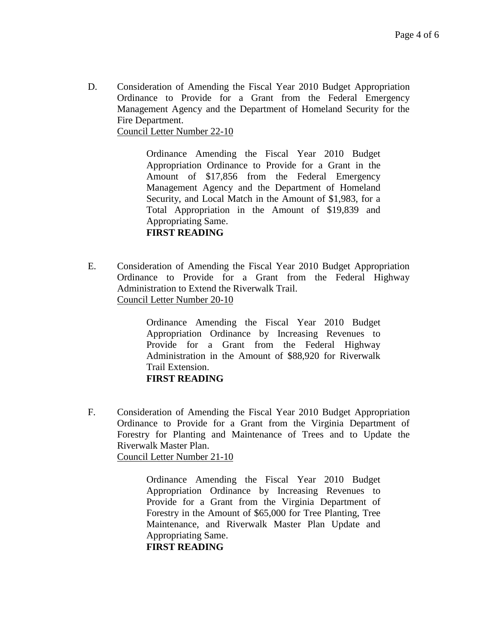D. Consideration of Amending the Fiscal Year 2010 Budget Appropriation Ordinance to Provide for a Grant from the Federal Emergency Management Agency and the Department of Homeland Security for the Fire Department.

Council Letter Number 22-10

Ordinance Amending the Fiscal Year 2010 Budget Appropriation Ordinance to Provide for a Grant in the Amount of \$17,856 from the Federal Emergency Management Agency and the Department of Homeland Security, and Local Match in the Amount of \$1,983, for a Total Appropriation in the Amount of \$19,839 and Appropriating Same. **FIRST READING**

E. Consideration of Amending the Fiscal Year 2010 Budget Appropriation Ordinance to Provide for a Grant from the Federal Highway Administration to Extend the Riverwalk Trail. Council Letter Number 20-10

> Ordinance Amending the Fiscal Year 2010 Budget Appropriation Ordinance by Increasing Revenues to Provide for a Grant from the Federal Highway Administration in the Amount of \$88,920 for Riverwalk Trail Extension. **FIRST READING**

F. Consideration of Amending the Fiscal Year 2010 Budget Appropriation Ordinance to Provide for a Grant from the Virginia Department of Forestry for Planting and Maintenance of Trees and to Update the Riverwalk Master Plan. Council Letter Number 21-10

> Ordinance Amending the Fiscal Year 2010 Budget Appropriation Ordinance by Increasing Revenues to Provide for a Grant from the Virginia Department of Forestry in the Amount of \$65,000 for Tree Planting, Tree Maintenance, and Riverwalk Master Plan Update and Appropriating Same.

**FIRST READING**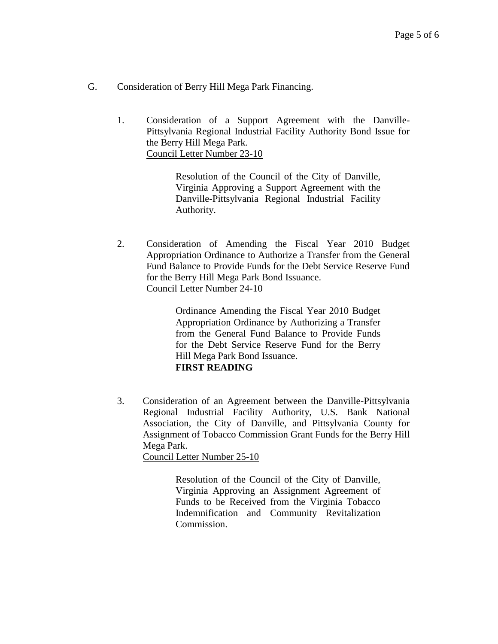- G. Consideration of Berry Hill Mega Park Financing.
	- 1. Consideration of a Support Agreement with the Danville-Pittsylvania Regional Industrial Facility Authority Bond Issue for the Berry Hill Mega Park. Council Letter Number 23-10

Resolution of the Council of the City of Danville, Virginia Approving a Support Agreement with the Danville-Pittsylvania Regional Industrial Facility Authority.

2. Consideration of Amending the Fiscal Year 2010 Budget Appropriation Ordinance to Authorize a Transfer from the General Fund Balance to Provide Funds for the Debt Service Reserve Fund for the Berry Hill Mega Park Bond Issuance. Council Letter Number 24-10

> Ordinance Amending the Fiscal Year 2010 Budget Appropriation Ordinance by Authorizing a Transfer from the General Fund Balance to Provide Funds for the Debt Service Reserve Fund for the Berry Hill Mega Park Bond Issuance. **FIRST READING**

3. Consideration of an Agreement between the Danville-Pittsylvania Regional Industrial Facility Authority, U.S. Bank National Association, the City of Danville, and Pittsylvania County for Assignment of Tobacco Commission Grant Funds for the Berry Hill Mega Park.

Council Letter Number 25-10

Resolution of the Council of the City of Danville, Virginia Approving an Assignment Agreement of Funds to be Received from the Virginia Tobacco Indemnification and Community Revitalization Commission.